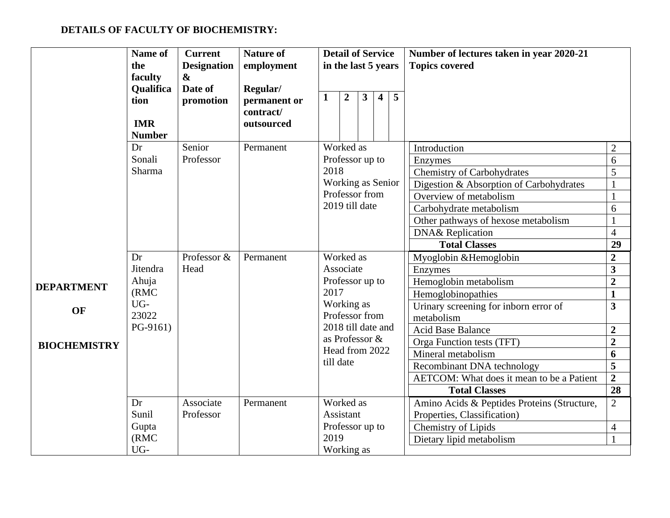## **DETAILS OF FACULTY OF BIOCHEMISTRY:**

|                     | Name of<br>the<br>faculty<br>Qualifica<br>tion<br><b>IMR</b><br><b>Number</b> | <b>Current</b><br><b>Designation</b><br>$\boldsymbol{\alpha}$<br>Date of<br>promotion | <b>Nature of</b><br>employment<br>Regular/<br>permanent or<br>contract/<br>outsourced | <b>Detail of Service</b><br>in the last 5 years<br>5<br>$\overline{2}$<br>$\mathbf{3}$<br>$\overline{\mathbf{4}}$<br>1 | Number of lectures taken in year 2020-21<br><b>Topics covered</b> |                                           |
|---------------------|-------------------------------------------------------------------------------|---------------------------------------------------------------------------------------|---------------------------------------------------------------------------------------|------------------------------------------------------------------------------------------------------------------------|-------------------------------------------------------------------|-------------------------------------------|
|                     | Dr                                                                            | Senior                                                                                | Permanent                                                                             | Worked as                                                                                                              | Introduction                                                      | $\mathbf{2}$                              |
|                     | Sonali                                                                        | Professor                                                                             |                                                                                       | Professor up to                                                                                                        | Enzymes                                                           | 6                                         |
|                     | Sharma                                                                        |                                                                                       |                                                                                       | 2018                                                                                                                   | <b>Chemistry of Carbohydrates</b>                                 | 5                                         |
|                     |                                                                               |                                                                                       |                                                                                       | Working as Senior                                                                                                      | Digestion & Absorption of Carbohydrates                           |                                           |
|                     |                                                                               |                                                                                       |                                                                                       | Professor from<br>2019 till date                                                                                       | Overview of metabolism                                            |                                           |
|                     |                                                                               |                                                                                       |                                                                                       |                                                                                                                        | Carbohydrate metabolism                                           | 6                                         |
|                     |                                                                               |                                                                                       |                                                                                       |                                                                                                                        | Other pathways of hexose metabolism                               |                                           |
|                     |                                                                               |                                                                                       |                                                                                       |                                                                                                                        | <b>DNA&amp;</b> Replication                                       | $\overline{4}$                            |
|                     |                                                                               |                                                                                       |                                                                                       |                                                                                                                        | <b>Total Classes</b>                                              | 29                                        |
|                     | Dr                                                                            | Professor &                                                                           | Permanent                                                                             | Worked as<br>Associate                                                                                                 | Myoglobin & Hemoglobin                                            | $\overline{2}$                            |
|                     | Jitendra                                                                      | Head                                                                                  |                                                                                       |                                                                                                                        | Enzymes                                                           | $\overline{\mathbf{3}}$                   |
|                     |                                                                               |                                                                                       |                                                                                       |                                                                                                                        |                                                                   |                                           |
| <b>DEPARTMENT</b>   | Ahuja                                                                         |                                                                                       |                                                                                       | Professor up to                                                                                                        | Hemoglobin metabolism                                             | $\overline{2}$                            |
|                     | (RMC)                                                                         |                                                                                       |                                                                                       | 2017                                                                                                                   | Hemoglobinopathies                                                | $\mathbf{1}$                              |
| OF                  | UG-                                                                           |                                                                                       |                                                                                       | Working as                                                                                                             | Urinary screening for inborn error of                             | 3                                         |
|                     | 23022<br>PG-9161)                                                             |                                                                                       |                                                                                       | Professor from<br>2018 till date and                                                                                   | metabolism                                                        |                                           |
|                     |                                                                               |                                                                                       |                                                                                       | as Professor &                                                                                                         | <b>Acid Base Balance</b>                                          | $\overline{2}$                            |
| <b>BIOCHEMISTRY</b> |                                                                               |                                                                                       |                                                                                       | Head from 2022                                                                                                         | Orga Function tests (TFT)                                         | $\overline{2}$                            |
|                     |                                                                               |                                                                                       |                                                                                       | till date                                                                                                              | Mineral metabolism                                                | 6                                         |
|                     |                                                                               |                                                                                       |                                                                                       |                                                                                                                        | Recombinant DNA technology                                        | $\overline{\mathbf{5}}$<br>$\overline{2}$ |
|                     |                                                                               |                                                                                       |                                                                                       |                                                                                                                        | AETCOM: What does it mean to be a Patient<br><b>Total Classes</b> | 28                                        |
|                     | Dr                                                                            | Associate                                                                             | Permanent                                                                             | Worked as                                                                                                              | Amino Acids & Peptides Proteins (Structure,                       | $\overline{2}$                            |
|                     | Sunil                                                                         | Professor                                                                             |                                                                                       | Assistant                                                                                                              | Properties, Classification)                                       |                                           |
|                     | Gupta                                                                         |                                                                                       |                                                                                       | Professor up to                                                                                                        | Chemistry of Lipids                                               | $\overline{4}$                            |
|                     | (RMC)<br>UG-                                                                  |                                                                                       |                                                                                       | 2019<br>Working as                                                                                                     | Dietary lipid metabolism                                          |                                           |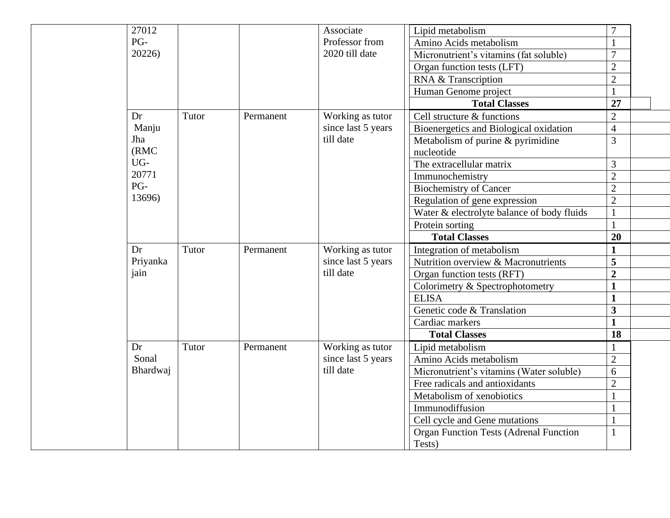| 27012        |       |           | Associate          | Lipid metabolism                                | 7              |  |
|--------------|-------|-----------|--------------------|-------------------------------------------------|----------------|--|
| PG-          |       |           | Professor from     | Amino Acids metabolism                          | $\mathbf{1}$   |  |
| 20226)       |       |           | 2020 till date     | Micronutrient's vitamins (fat soluble)          | $\overline{7}$ |  |
|              |       |           |                    | Organ function tests (LFT)                      | $\overline{2}$ |  |
|              |       |           |                    | RNA & Transcription                             | $\overline{2}$ |  |
|              |       |           |                    | Human Genome project                            | $\mathbf{1}$   |  |
|              |       |           |                    | <b>Total Classes</b>                            | 27             |  |
| Dr           | Tutor | Permanent | Working as tutor   | Cell structure & functions                      | $\overline{2}$ |  |
| Manju        |       |           | since last 5 years | Bioenergetics and Biological oxidation          | $\overline{4}$ |  |
| Jha<br>(RMC) |       |           | till date          | Metabolism of purine & pyrimidine<br>nucleotide | 3              |  |
| UG-          |       |           |                    | The extracellular matrix                        | 3              |  |
| 20771        |       |           |                    | Immunochemistry                                 | $\overline{2}$ |  |
| PG-          |       |           |                    | <b>Biochemistry of Cancer</b>                   | $\overline{2}$ |  |
| 13696)       |       |           |                    | Regulation of gene expression                   | $\overline{2}$ |  |
|              |       |           |                    | Water & electrolyte balance of body fluids      | $\mathbf{1}$   |  |
|              |       |           |                    | Protein sorting                                 | $\mathbf{1}$   |  |
|              |       |           |                    | <b>Total Classes</b>                            | 20             |  |
| Dr           | Tutor | Permanent | Working as tutor   | Integration of metabolism                       | $\mathbf{1}$   |  |
| Priyanka     |       |           | since last 5 years | Nutrition overview & Macronutrients             | 5              |  |
| jain         |       |           | till date          | Organ function tests (RFT)                      | $\overline{2}$ |  |
|              |       |           |                    | Colorimetry & Spectrophotometry                 | $\mathbf{1}$   |  |
|              |       |           |                    | <b>ELISA</b>                                    | $\mathbf{1}$   |  |
|              |       |           |                    | Genetic code & Translation                      | 3              |  |
|              |       |           |                    | Cardiac markers                                 | $\mathbf{1}$   |  |
|              |       |           |                    | <b>Total Classes</b>                            | 18             |  |
| Dr           | Tutor | Permanent | Working as tutor   | Lipid metabolism                                | $\mathbf{1}$   |  |
| Sonal        |       |           | since last 5 years | Amino Acids metabolism                          | $\overline{2}$ |  |
| Bhardwaj     |       |           | till date          | Micronutrient's vitamins (Water soluble)        | 6              |  |
|              |       |           |                    | Free radicals and antioxidants                  | $\overline{2}$ |  |
|              |       |           |                    | Metabolism of xenobiotics                       | $\mathbf{1}$   |  |
|              |       |           |                    | Immunodiffusion                                 | $\mathbf{1}$   |  |
|              |       |           |                    | Cell cycle and Gene mutations                   | $\mathbf{1}$   |  |
|              |       |           |                    | <b>Organ Function Tests (Adrenal Function</b>   | $\mathbf{1}$   |  |
|              |       |           |                    | Tests)                                          |                |  |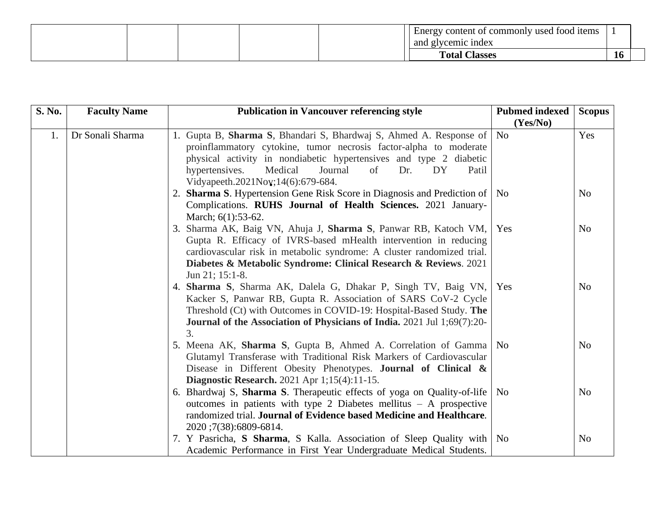|  | t commonly used<br>Energy content of | tood items |           |
|--|--------------------------------------|------------|-----------|
|  | l glycemic index<br>and              |            |           |
|  | <b>Total Classes</b>                 |            | <b>16</b> |

| S. No. | <b>Faculty Name</b> | <b>Publication in Vancouver referencing style</b>                                                                                                                                                                                                                                                                      | <b>Pubmed indexed</b><br>(Yes/No) | <b>Scopus</b>  |
|--------|---------------------|------------------------------------------------------------------------------------------------------------------------------------------------------------------------------------------------------------------------------------------------------------------------------------------------------------------------|-----------------------------------|----------------|
| 1.     | Dr Sonali Sharma    | 1. Gupta B, Sharma S, Bhandari S, Bhardwaj S, Ahmed A. Response of<br>proinflammatory cytokine, tumor necrosis factor-alpha to moderate<br>physical activity in nondiabetic hypertensives and type 2 diabetic<br>hypertensives.<br>Medical<br>Journal<br>of<br>Dr.<br>DY<br>Patil<br>Vidyapeeth.2021Nov;14(6):679-684. | N <sub>o</sub>                    | Yes            |
|        |                     | 2. Sharma S. Hypertension Gene Risk Score in Diagnosis and Prediction of   No<br>Complications. RUHS Journal of Health Sciences. 2021 January-<br>March; 6(1):53-62.                                                                                                                                                   |                                   | N <sub>o</sub> |
|        |                     | 3. Sharma AK, Baig VN, Ahuja J, Sharma S, Panwar RB, Katoch VM,<br>Gupta R. Efficacy of IVRS-based mHealth intervention in reducing<br>cardiovascular risk in metabolic syndrome: A cluster randomized trial.<br>Diabetes & Metabolic Syndrome: Clinical Research & Reviews. 2021<br>Jun 21; 15:1-8.                   | Yes                               | N <sub>o</sub> |
|        |                     | 4. Sharma S, Sharma AK, Dalela G, Dhakar P, Singh TV, Baig VN,<br>Kacker S, Panwar RB, Gupta R. Association of SARS CoV-2 Cycle<br>Threshold (Ct) with Outcomes in COVID-19: Hospital-Based Study. The<br>Journal of the Association of Physicians of India. 2021 Jul 1;69(7):20-<br>3.                                | Yes                               | N <sub>0</sub> |
|        |                     | 5. Meena AK, Sharma S, Gupta B, Ahmed A. Correlation of Gamma   No<br>Glutamyl Transferase with Traditional Risk Markers of Cardiovascular<br>Disease in Different Obesity Phenotypes. Journal of Clinical &<br><b>Diagnostic Research.</b> 2021 Apr 1;15(4):11-15.                                                    |                                   | N <sub>o</sub> |
|        |                     | 6. Bhardwaj S, Sharma S. Therapeutic effects of yoga on Quality-of-life<br>outcomes in patients with type 2 Diabetes mellitus $- A$ prospective<br>randomized trial. Journal of Evidence based Medicine and Healthcare.<br>2020;7(38):6809-6814.                                                                       | N <sub>0</sub>                    | N <sub>o</sub> |
|        |                     | 7. Y Pasricha, S Sharma, S Kalla. Association of Sleep Quality with No<br>Academic Performance in First Year Undergraduate Medical Students.                                                                                                                                                                           |                                   | N <sub>o</sub> |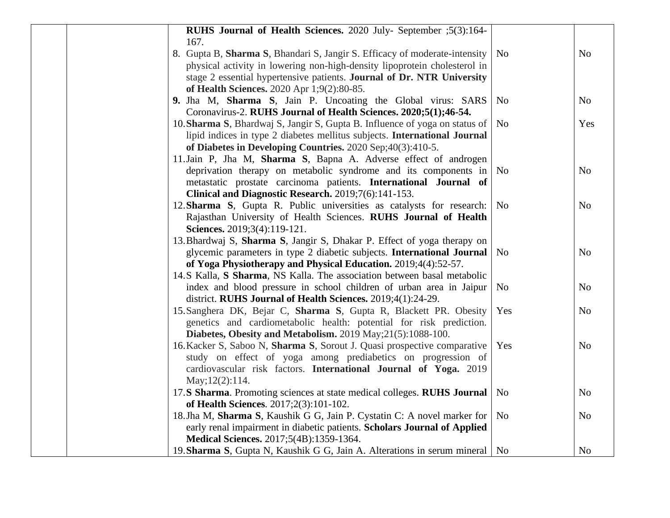| RUHS Journal of Health Sciences. 2020 July- September ;5(3):164-              |                |                |
|-------------------------------------------------------------------------------|----------------|----------------|
| 167.                                                                          |                |                |
| 8. Gupta B, Sharma S, Bhandari S, Jangir S. Efficacy of moderate-intensity    | N <sub>o</sub> | N <sub>o</sub> |
| physical activity in lowering non-high-density lipoprotein cholesterol in     |                |                |
| stage 2 essential hypertensive patients. Journal of Dr. NTR University        |                |                |
| of Health Sciences. 2020 Apr 1;9(2):80-85.                                    |                |                |
| 9. Jha M, Sharma S, Jain P. Uncoating the Global virus: SARS                  | N <sub>o</sub> | N <sub>o</sub> |
| Coronavirus-2. RUHS Journal of Health Sciences. 2020;5(1);46-54.              |                |                |
| 10. Sharma S, Bhardwaj S, Jangir S, Gupta B. Influence of yoga on status of   | N <sub>o</sub> | Yes            |
| lipid indices in type 2 diabetes mellitus subjects. International Journal     |                |                |
| of Diabetes in Developing Countries. 2020 Sep; 40(3): 410-5.                  |                |                |
| 11. Jain P, Jha M, Sharma S, Bapna A. Adverse effect of androgen              |                |                |
| deprivation therapy on metabolic syndrome and its components in               | N <sub>o</sub> | N <sub>o</sub> |
| metastatic prostate carcinoma patients. International Journal of              |                |                |
| Clinical and Diagnostic Research. 2019;7(6):141-153.                          |                |                |
| 12. Sharma S, Gupta R. Public universities as catalysts for research:         | N <sub>o</sub> | N <sub>0</sub> |
| Rajasthan University of Health Sciences. RUHS Journal of Health               |                |                |
| Sciences. 2019;3(4):119-121.                                                  |                |                |
| 13. Bhardwaj S, Sharma S, Jangir S, Dhakar P. Effect of yoga therapy on       |                |                |
| glycemic parameters in type 2 diabetic subjects. International Journal        | N <sub>o</sub> | N <sub>0</sub> |
| of Yoga Physiotherapy and Physical Education. 2019;4(4):52-57.                |                |                |
| 14.S Kalla, S Sharma, NS Kalla. The association between basal metabolic       |                |                |
| index and blood pressure in school children of urban area in Jaipur           | N <sub>o</sub> | N <sub>0</sub> |
| district. RUHS Journal of Health Sciences. 2019;4(1):24-29.                   |                |                |
| 15. Sanghera DK, Bejar C, Sharma S, Gupta R, Blackett PR. Obesity             | Yes            | N <sub>0</sub> |
| genetics and cardiometabolic health: potential for risk prediction.           |                |                |
| Diabetes, Obesity and Metabolism. 2019 May; 21(5):1088-100.                   |                |                |
| 16. Kacker S, Saboo N, Sharma S, Sorout J. Quasi prospective comparative      | Yes            | N <sub>0</sub> |
| study on effect of yoga among prediabetics on progression of                  |                |                |
| cardiovascular risk factors. International Journal of Yoga. 2019              |                |                |
| May; 12(2): 114.                                                              |                |                |
| 17.S Sharma. Promoting sciences at state medical colleges. RUHS Journal       | N <sub>0</sub> | N <sub>o</sub> |
| of Health Sciences. 2017;2(3):101-102.                                        |                |                |
| 18. Jha M, Sharma S, Kaushik G G, Jain P. Cystatin C: A novel marker for      | N <sub>o</sub> | N <sub>0</sub> |
| early renal impairment in diabetic patients. Scholars Journal of Applied      |                |                |
| Medical Sciences. 2017;5(4B):1359-1364.                                       |                |                |
| 19. Sharma S, Gupta N, Kaushik G G, Jain A. Alterations in serum mineral   No |                | N <sub>o</sub> |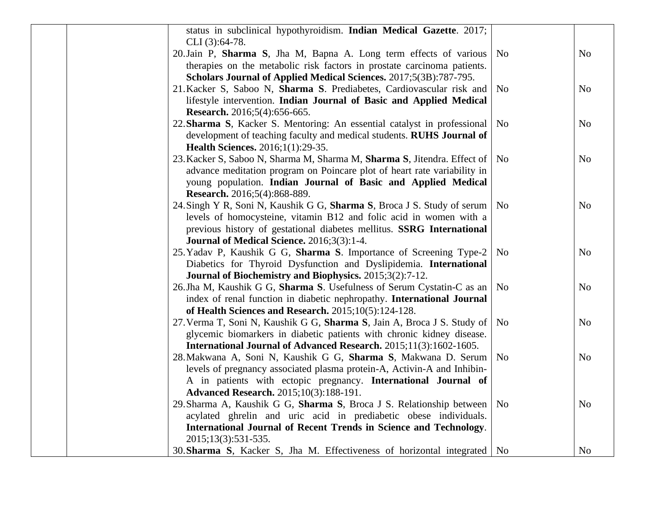| status in subclinical hypothyroidism. Indian Medical Gazette. 2017;<br>CLI (3):64-78. |                |                |
|---------------------------------------------------------------------------------------|----------------|----------------|
| 20. Jain P, Sharma S, Jha M, Bapna A. Long term effects of various                    | N <sub>o</sub> | N <sub>o</sub> |
| therapies on the metabolic risk factors in prostate carcinoma patients.               |                |                |
| Scholars Journal of Applied Medical Sciences. 2017;5(3B):787-795.                     |                |                |
| 21. Kacker S, Saboo N, Sharma S. Prediabetes, Cardiovascular risk and                 | N <sub>o</sub> | N <sub>0</sub> |
| lifestyle intervention. Indian Journal of Basic and Applied Medical                   |                |                |
| Research. 2016;5(4):656-665.                                                          |                |                |
| 22. Sharma S, Kacker S. Mentoring: An essential catalyst in professional              | N <sub>o</sub> | N <sub>o</sub> |
| development of teaching faculty and medical students. RUHS Journal of                 |                |                |
| <b>Health Sciences.</b> 2016;1(1):29-35.                                              |                |                |
| 23. Kacker S, Saboo N, Sharma M, Sharma M, Sharma S, Jitendra. Effect of              | N <sub>o</sub> | N <sub>o</sub> |
| advance meditation program on Poincare plot of heart rate variability in              |                |                |
| young population. Indian Journal of Basic and Applied Medical                         |                |                |
| Research. 2016;5(4):868-889.                                                          |                |                |
| 24. Singh Y R, Soni N, Kaushik G G, Sharma S, Broca J S. Study of serum               | N <sub>0</sub> | N <sub>o</sub> |
| levels of homocysteine, vitamin B12 and folic acid in women with a                    |                |                |
| previous history of gestational diabetes mellitus. SSRG International                 |                |                |
| <b>Journal of Medical Science.</b> 2016;3(3):1-4.                                     |                |                |
| 25. Yadav P, Kaushik G G, Sharma S. Importance of Screening Type-2                    | N <sub>o</sub> | N <sub>0</sub> |
| Diabetics for Thyroid Dysfunction and Dyslipidemia. International                     |                |                |
| Journal of Biochemistry and Biophysics. 2015;3(2):7-12.                               |                |                |
| 26. Jha M, Kaushik G G, Sharma S. Usefulness of Serum Cystatin-C as an                | N <sub>o</sub> | N <sub>o</sub> |
| index of renal function in diabetic nephropathy. International Journal                |                |                |
| of Health Sciences and Research. 2015;10(5):124-128.                                  |                |                |
| 27. Verma T, Soni N, Kaushik G G, Sharma S, Jain A, Broca J S. Study of               | N <sub>o</sub> | No             |
| glycemic biomarkers in diabetic patients with chronic kidney disease.                 |                |                |
| International Journal of Advanced Research. 2015;11(3):1602-1605.                     |                |                |
| 28. Makwana A, Soni N, Kaushik G G, Sharma S, Makwana D. Serum                        | N <sub>o</sub> | N <sub>o</sub> |
| levels of pregnancy associated plasma protein-A, Activin-A and Inhibin-               |                |                |
| A in patients with ectopic pregnancy. International Journal of                        |                |                |
| <b>Advanced Research.</b> 2015;10(3):188-191.                                         |                |                |
| 29. Sharma A, Kaushik G G, Sharma S, Broca J S. Relationship between                  | N <sub>o</sub> | N <sub>o</sub> |
| acylated ghrelin and uric acid in prediabetic obese individuals.                      |                |                |
| International Journal of Recent Trends in Science and Technology.                     |                |                |
| 2015;13(3):531-535.                                                                   |                |                |
| 30. Sharma S, Kacker S, Jha M. Effectiveness of horizontal integrated   No            |                | N <sub>o</sub> |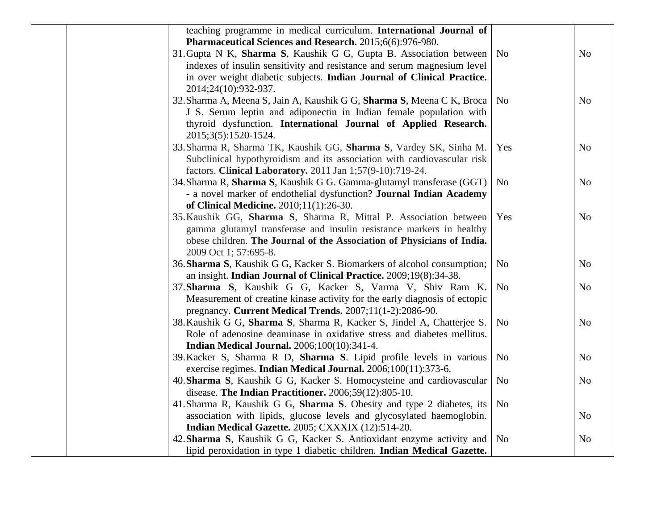| teaching programme in medical curriculum. International Journal of                                                              |                |                |
|---------------------------------------------------------------------------------------------------------------------------------|----------------|----------------|
| Pharmaceutical Sciences and Research. 2015;6(6):976-980.                                                                        |                |                |
| 31. Gupta N K, Sharma S, Kaushik G G, Gupta B. Association between                                                              | N <sub>o</sub> | N <sub>o</sub> |
| indexes of insulin sensitivity and resistance and serum magnesium level                                                         |                |                |
| in over weight diabetic subjects. Indian Journal of Clinical Practice.                                                          |                |                |
| 2014;24(10):932-937.                                                                                                            |                |                |
| 32. Sharma A, Meena S, Jain A, Kaushik G G, Sharma S, Meena C K, Broca                                                          | N <sub>o</sub> | N <sub>o</sub> |
| J S. Serum leptin and adiponectin in Indian female population with                                                              |                |                |
| thyroid dysfunction. International Journal of Applied Research.                                                                 |                |                |
| 2015;3(5):1520-1524.                                                                                                            |                |                |
| 33. Sharma R, Sharma TK, Kaushik GG, Sharma S, Vardey SK, Sinha M.                                                              | Yes            | N <sub>o</sub> |
| Subclinical hypothyroidism and its association with cardiovascular risk                                                         |                |                |
| factors. Clinical Laboratory. 2011 Jan 1;57(9-10):719-24.                                                                       |                |                |
| 34. Sharma R, Sharma S, Kaushik G G. Gamma-glutamyl transferase (GGT)                                                           | N <sub>o</sub> | N <sub>0</sub> |
| - a novel marker of endothelial dysfunction? Journal Indian Academy                                                             |                |                |
| of Clinical Medicine. 2010;11(1):26-30.                                                                                         |                |                |
| 35. Kaushik GG, Sharma S, Sharma R, Mittal P. Association between                                                               | Yes            | N <sub>o</sub> |
| gamma glutamyl transferase and insulin resistance markers in healthy                                                            |                |                |
| obese children. The Journal of the Association of Physicians of India.                                                          |                |                |
| 2009 Oct 1; 57:695-8.                                                                                                           | N <sub>o</sub> |                |
| 36. Sharma S, Kaushik G G, Kacker S. Biomarkers of alcohol consumption;                                                         |                | N <sub>0</sub> |
| an insight. Indian Journal of Clinical Practice. 2009;19(8):34-38.<br>37. Sharma S, Kaushik G G, Kacker S, Varma V, Shiv Ram K. | N <sub>o</sub> | N <sub>o</sub> |
| Measurement of creatine kinase activity for the early diagnosis of ectopic                                                      |                |                |
| pregnancy. Current Medical Trends. 2007;11(1-2):2086-90.                                                                        |                |                |
| 38. Kaushik G G, Sharma S, Sharma R, Kacker S, Jindel A, Chatterjee S.                                                          | N <sub>o</sub> | N <sub>0</sub> |
| Role of adenosine deaminase in oxidative stress and diabetes mellitus.                                                          |                |                |
| <b>Indian Medical Journal.</b> 2006;100(10):341-4.                                                                              |                |                |
| 39. Kacker S, Sharma R D, Sharma S. Lipid profile levels in various                                                             | N <sub>o</sub> | N <sub>o</sub> |
| exercise regimes. Indian Medical Journal. 2006;100(11):373-6.                                                                   |                |                |
| 40. Sharma S, Kaushik G G, Kacker S. Homocysteine and cardiovascular                                                            | N <sub>o</sub> | N <sub>o</sub> |
| disease. The Indian Practitioner. 2006;59(12):805-10.                                                                           |                |                |
| 41. Sharma R, Kaushik G G, Sharma S. Obesity and type 2 diabetes, its                                                           | N <sub>o</sub> |                |
| association with lipids, glucose levels and glycosylated haemoglobin.                                                           |                | N <sub>o</sub> |
| Indian Medical Gazette. 2005; CXXXIX (12):514-20.                                                                               |                |                |
| 42. Sharma S, Kaushik G G, Kacker S. Antioxidant enzyme activity and                                                            | N <sub>o</sub> | N <sub>o</sub> |
| lipid peroxidation in type 1 diabetic children. Indian Medical Gazette.                                                         |                |                |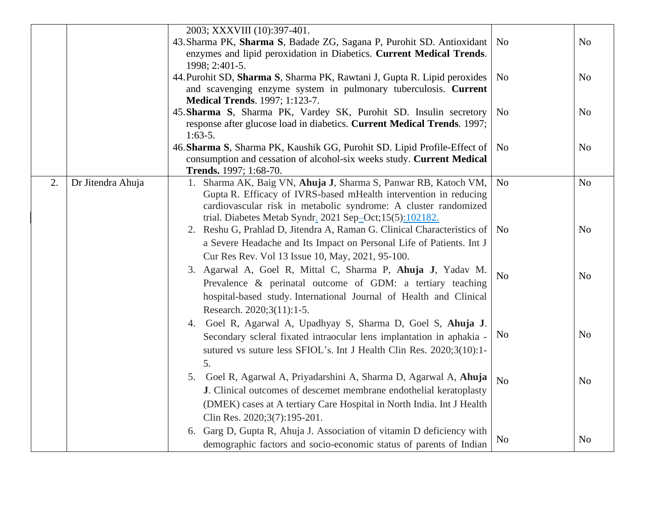|    |                   | 2003; XXXVIII (10):397-401.                                                                                                                                                                                                                                    |                |                |
|----|-------------------|----------------------------------------------------------------------------------------------------------------------------------------------------------------------------------------------------------------------------------------------------------------|----------------|----------------|
|    |                   | 43. Sharma PK, Sharma S, Badade ZG, Sagana P, Purohit SD. Antioxidant<br>enzymes and lipid peroxidation in Diabetics. Current Medical Trends.                                                                                                                  | N <sub>o</sub> | N <sub>o</sub> |
|    |                   | 1998; 2:401-5.<br>44. Purohit SD, Sharma S, Sharma PK, Rawtani J, Gupta R. Lipid peroxides<br>and scavenging enzyme system in pulmonary tuberculosis. Current                                                                                                  | N <sub>o</sub> | N <sub>0</sub> |
|    |                   | <b>Medical Trends.</b> 1997; 1:123-7.                                                                                                                                                                                                                          |                |                |
|    |                   | 45. Sharma S, Sharma PK, Vardey SK, Purohit SD. Insulin secretory<br>response after glucose load in diabetics. Current Medical Trends. 1997;                                                                                                                   | N <sub>o</sub> | N <sub>0</sub> |
|    |                   | $1:63-5.$<br>46. Sharma S, Sharma PK, Kaushik GG, Purohit SD. Lipid Profile-Effect of<br>consumption and cessation of alcohol-six weeks study. Current Medical                                                                                                 | <b>No</b>      | N <sub>o</sub> |
| 2. | Dr Jitendra Ahuja | Trends. 1997; 1:68-70.<br>1. Sharma AK, Baig VN, Ahuja J, Sharma S, Panwar RB, Katoch VM,<br>Gupta R. Efficacy of IVRS-based mHealth intervention in reducing<br>cardiovascular risk in metabolic syndrome: A cluster randomized                               | $\rm No$       | N <sub>o</sub> |
|    |                   | trial. Diabetes Metab Syndr. 2021 Sep-Oct;15(5):102182.<br>2. Reshu G, Prahlad D, Jitendra A, Raman G. Clinical Characteristics of<br>a Severe Headache and Its Impact on Personal Life of Patients. Int J<br>Cur Res Rev. Vol 13 Issue 10, May, 2021, 95-100. | N <sub>0</sub> | N <sub>0</sub> |
|    |                   | 3. Agarwal A, Goel R, Mittal C, Sharma P, Ahuja J, Yadav M.<br>Prevalence & perinatal outcome of GDM: a tertiary teaching<br>hospital-based study. International Journal of Health and Clinical<br>Research. 2020;3(11):1-5.                                   | N <sub>o</sub> | N <sub>o</sub> |
|    |                   | 4. Goel R, Agarwal A, Upadhyay S, Sharma D, Goel S, Ahuja J.<br>Secondary scleral fixated intraocular lens implantation in aphakia -<br>sutured vs suture less SFIOL's. Int J Health Clin Res. 2020;3(10):1-<br>5.                                             | N <sub>0</sub> | N <sub>o</sub> |
|    |                   | 5. Goel R, Agarwal A, Priyadarshini A, Sharma D, Agarwal A, Ahuja<br>J. Clinical outcomes of descemet membrane endothelial keratoplasty<br>(DMEK) cases at A tertiary Care Hospital in North India. Int J Health<br>Clin Res. 2020;3(7):195-201.               | N <sub>o</sub> | N <sub>o</sub> |
|    |                   | 6. Garg D, Gupta R, Ahuja J. Association of vitamin D deficiency with<br>demographic factors and socio-economic status of parents of Indian                                                                                                                    | No             | N <sub>0</sub> |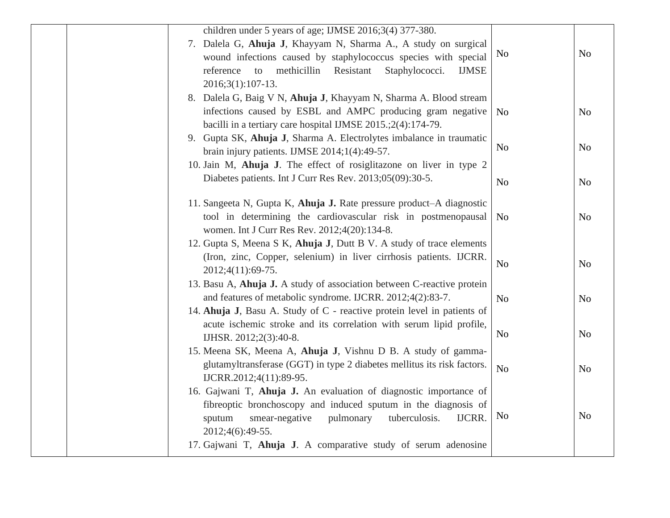| children under 5 years of age; IJMSE 2016;3(4) 377-380.<br>7. Dalela G, Ahuja J, Khayyam N, Sharma A., A study on surgical<br>wound infections caused by staphylococcus species with special<br>reference<br>methicillin<br>Resistant<br>Staphylococci.<br>to<br><b>IJMSE</b><br>$2016;3(1):107-13.$ | N <sub>0</sub> | N <sub>o</sub> |
|------------------------------------------------------------------------------------------------------------------------------------------------------------------------------------------------------------------------------------------------------------------------------------------------------|----------------|----------------|
| 8. Dalela G, Baig V N, Ahuja J, Khayyam N, Sharma A. Blood stream<br>infections caused by ESBL and AMPC producing gram negative<br>bacilli in a tertiary care hospital IJMSE 2015.;2(4):174-79.                                                                                                      | N <sub>o</sub> | N <sub>o</sub> |
| 9. Gupta SK, Ahuja J, Sharma A. Electrolytes imbalance in traumatic<br>brain injury patients. IJMSE $2014;1(4):49-57$ .<br>10. Jain M, Ahuja J. The effect of rosiglitazone on liver in type 2                                                                                                       | N <sub>o</sub> | N <sub>0</sub> |
| Diabetes patients. Int J Curr Res Rev. 2013;05(09):30-5.                                                                                                                                                                                                                                             | N <sub>o</sub> | N <sub>0</sub> |
| 11. Sangeeta N, Gupta K, Ahuja J. Rate pressure product–A diagnostic<br>tool in determining the cardiovascular risk in postmenopausal<br>women. Int J Curr Res Rev. 2012;4(20):134-8.                                                                                                                | N <sub>o</sub> | N <sub>o</sub> |
| 12. Gupta S, Meena S K, Ahuja J, Dutt B V. A study of trace elements<br>(Iron, zinc, Copper, selenium) in liver cirrhosis patients. IJCRR.<br>2012;4(11):69-75.                                                                                                                                      | N <sub>o</sub> | N <sub>0</sub> |
| 13. Basu A, Ahuja J. A study of association between C-reactive protein<br>and features of metabolic syndrome. IJCRR. 2012;4(2):83-7.<br>14. Ahuja J, Basu A. Study of C - reactive protein level in patients of                                                                                      | N <sub>o</sub> | N <sub>o</sub> |
| acute ischemic stroke and its correlation with serum lipid profile,<br>IJHSR. 2012;2(3):40-8.<br>15. Meena SK, Meena A, Ahuja J, Vishnu D B. A study of gamma-                                                                                                                                       | N <sub>o</sub> | N <sub>0</sub> |
| glutamyltransferase (GGT) in type 2 diabetes mellitus its risk factors.<br>IJCRR.2012;4(11):89-95.                                                                                                                                                                                                   | N <sub>o</sub> | N <sub>o</sub> |
| 16. Gajwani T, Ahuja J. An evaluation of diagnostic importance of<br>fibreoptic bronchoscopy and induced sputum in the diagnosis of<br>IJCRR.<br>smear-negative<br>pulmonary<br>tuberculosis.<br>sputum<br>2012;4(6):49-55.<br>17. Gajwani T, Ahuja J. A comparative study of serum adenosine        | N <sub>0</sub> | N <sub>o</sub> |
|                                                                                                                                                                                                                                                                                                      |                |                |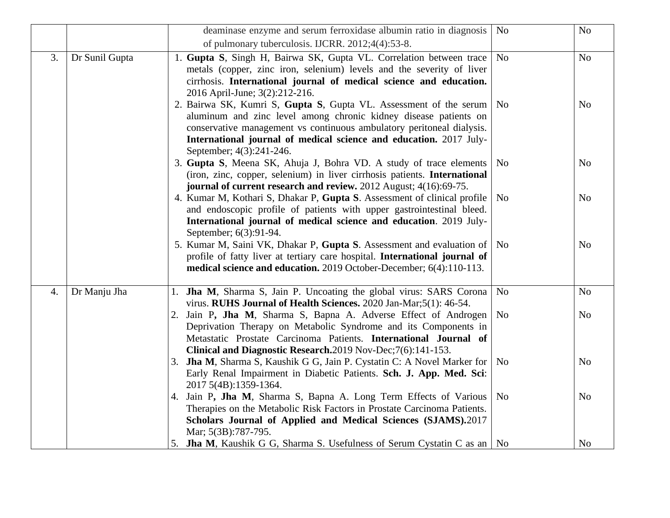|    |                | deaminase enzyme and serum ferroxidase albumin ratio in diagnosis                                                                                                                                                                                                                                                     | N <sub>o</sub> | No             |
|----|----------------|-----------------------------------------------------------------------------------------------------------------------------------------------------------------------------------------------------------------------------------------------------------------------------------------------------------------------|----------------|----------------|
|    |                | of pulmonary tuberculosis. IJCRR. 2012;4(4):53-8.                                                                                                                                                                                                                                                                     |                |                |
| 3. | Dr Sunil Gupta | 1. Gupta S, Singh H, Bairwa SK, Gupta VL. Correlation between trace<br>metals (copper, zinc iron, selenium) levels and the severity of liver<br>cirrhosis. International journal of medical science and education.<br>2016 April-June; 3(2):212-216.                                                                  | N <sub>o</sub> | N <sub>o</sub> |
|    |                | 2. Bairwa SK, Kumri S, Gupta S, Gupta VL. Assessment of the serum   No<br>aluminum and zinc level among chronic kidney disease patients on<br>conservative management vs continuous ambulatory peritoneal dialysis.<br>International journal of medical science and education. 2017 July-<br>September; 4(3):241-246. |                | No             |
|    |                | 3. Gupta S, Meena SK, Ahuja J, Bohra VD. A study of trace elements<br>(iron, zinc, copper, selenium) in liver cirrhosis patients. International<br>journal of current research and review. 2012 August; 4(16):69-75.                                                                                                  | N <sub>0</sub> | N <sub>o</sub> |
|    |                | 4. Kumar M, Kothari S, Dhakar P, Gupta S. Assessment of clinical profile<br>and endoscopic profile of patients with upper gastrointestinal bleed.<br>International journal of medical science and education. 2019 July-<br>September; 6(3):91-94.                                                                     | N <sub>0</sub> | N <sub>o</sub> |
|    |                | 5. Kumar M, Saini VK, Dhakar P, Gupta S. Assessment and evaluation of   No<br>profile of fatty liver at tertiary care hospital. International journal of<br>medical science and education. 2019 October-December; 6(4):110-113.                                                                                       |                | N <sub>o</sub> |
| 4. | Dr Manju Jha   | 1. Jha M, Sharma S, Jain P. Uncoating the global virus: SARS Corona<br>virus. RUHS Journal of Health Sciences. 2020 Jan-Mar;5(1): 46-54.                                                                                                                                                                              | N <sub>o</sub> | N <sub>o</sub> |
|    |                | 2. Jain P, Jha M, Sharma S, Bapna A. Adverse Effect of Androgen<br>Deprivation Therapy on Metabolic Syndrome and its Components in<br>Metastatic Prostate Carcinoma Patients. International Journal of<br>Clinical and Diagnostic Research.2019 Nov-Dec;7(6):141-153.                                                 | N <sub>o</sub> | N <sub>o</sub> |
|    |                | 3. Jha M, Sharma S, Kaushik G G, Jain P. Cystatin C: A Novel Marker for<br>Early Renal Impairment in Diabetic Patients. Sch. J. App. Med. Sci:<br>2017 5(4B):1359-1364.                                                                                                                                               | N <sub>0</sub> | N <sub>o</sub> |
|    |                | 4. Jain P, Jha M, Sharma S, Bapna A. Long Term Effects of Various<br>Therapies on the Metabolic Risk Factors in Prostate Carcinoma Patients.<br>Scholars Journal of Applied and Medical Sciences (SJAMS).2017<br>Mar; 5(3B):787-795.                                                                                  | N <sub>0</sub> | N <sub>o</sub> |
|    |                | 5. Jha M, Kaushik G G, Sharma S. Usefulness of Serum Cystatin C as an   No                                                                                                                                                                                                                                            |                | N <sub>o</sub> |